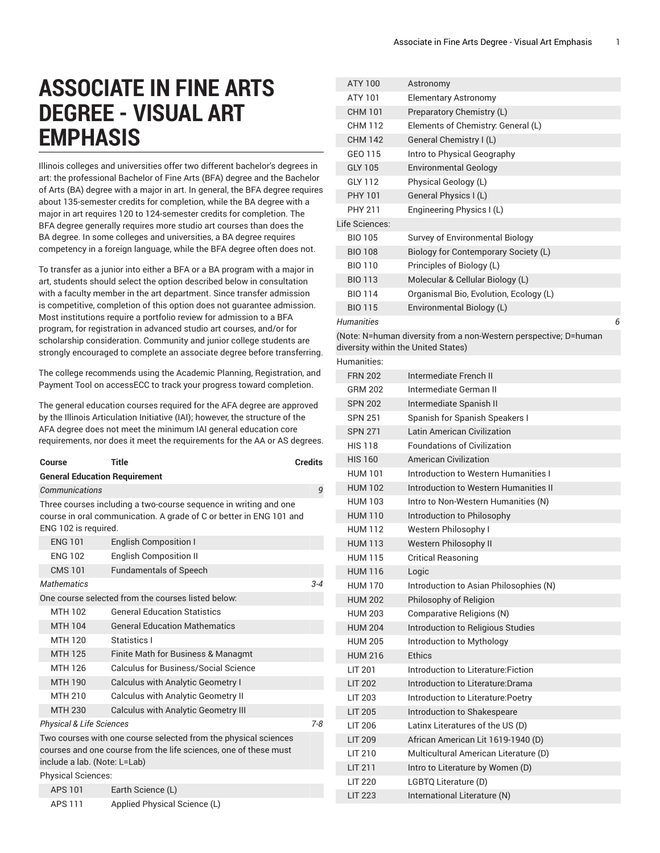## **ASSOCIATE IN FINE ARTS DEGREE - VISUAL ART EMPHASIS**

Illinois colleges and universities offer two different bachelor's degrees in art: the professional Bachelor of Fine Arts (BFA) degree and the Bachelor of Arts (BA) degree with a major in art. In general, the BFA degree requires about 135-semester credits for completion, while the BA degree with a major in art requires 120 to 124-semester credits for completion. The BFA degree generally requires more studio art courses than does the BA degree. In some colleges and universities, a BA degree requires competency in a foreign language, while the BFA degree often does not.

To transfer as a junior into either a BFA or a BA program with a major in art, students should select the option described below in consultation with a faculty member in the art department. Since transfer admission is competitive, completion of this option does not guarantee admission. Most institutions require a portfolio review for admission to a BFA program, for registration in advanced studio art courses, and/or for scholarship consideration. Community and junior college students are strongly encouraged to complete an associate degree before transferring.

The college recommends using the Academic Planning, Registration, and Payment Tool on accessECC to track your progress toward completion.

The general education courses required for the AFA degree are approved by the Illinois Articulation Initiative (IAI); however, the structure of the AFA degree does not meet the minimum IAI general education core requirements, nor does it meet the requirements for the AA or AS degrees.

| Course                                                                                                                                                              | Title                                                                                                                                   | <b>Credits</b> |
|---------------------------------------------------------------------------------------------------------------------------------------------------------------------|-----------------------------------------------------------------------------------------------------------------------------------------|----------------|
| <b>General Education Requirement</b>                                                                                                                                |                                                                                                                                         |                |
| Communications                                                                                                                                                      |                                                                                                                                         | 9              |
| ENG 102 is required.                                                                                                                                                | Three courses including a two-course sequence in writing and one<br>course in oral communication. A grade of C or better in ENG 101 and |                |
| <b>FNG 101</b>                                                                                                                                                      | <b>English Composition I</b>                                                                                                            |                |
| <b>ENG 102</b>                                                                                                                                                      | <b>English Composition II</b>                                                                                                           |                |
| <b>CMS 101</b>                                                                                                                                                      | <b>Fundamentals of Speech</b>                                                                                                           |                |
| <b>Mathematics</b>                                                                                                                                                  |                                                                                                                                         | $3 - 4$        |
|                                                                                                                                                                     | One course selected from the courses listed below:                                                                                      |                |
| MTH 102                                                                                                                                                             | <b>General Education Statistics</b>                                                                                                     |                |
| <b>MTH 104</b>                                                                                                                                                      | <b>General Education Mathematics</b>                                                                                                    |                |
| MTH 120                                                                                                                                                             | Statistics I                                                                                                                            |                |
| <b>MTH 125</b>                                                                                                                                                      | Finite Math for Business & Managmt                                                                                                      |                |
| MTH 126                                                                                                                                                             | <b>Calculus for Business/Social Science</b>                                                                                             |                |
| <b>MTH 190</b>                                                                                                                                                      | <b>Calculus with Analytic Geometry I</b>                                                                                                |                |
| MTH 210                                                                                                                                                             | <b>Calculus with Analytic Geometry II</b>                                                                                               |                |
| <b>MTH 230</b>                                                                                                                                                      | <b>Calculus with Analytic Geometry III</b>                                                                                              |                |
| <b>Physical &amp; Life Sciences</b>                                                                                                                                 |                                                                                                                                         | $7 - 8$        |
| Two courses with one course selected from the physical sciences<br>courses and one course from the life sciences, one of these must<br>include a lab. (Note: L=Lab) |                                                                                                                                         |                |
| <b>Physical Sciences:</b>                                                                                                                                           |                                                                                                                                         |                |
| <b>APS 101</b>                                                                                                                                                      | Earth Science (L)                                                                                                                       |                |
| <b>APS 111</b>                                                                                                                                                      | Applied Physical Science (L)                                                                                                            |                |

| ATY 100           |                                                                  |   |
|-------------------|------------------------------------------------------------------|---|
|                   | Astronomy                                                        |   |
| ATY 101           | <b>Elementary Astronomy</b>                                      |   |
| <b>CHM 101</b>    | Preparatory Chemistry (L)                                        |   |
| CHM 112           | Elements of Chemistry: General (L)                               |   |
| <b>CHM 142</b>    | General Chemistry I (L)                                          |   |
| GEO 115           | Intro to Physical Geography                                      |   |
| <b>GLY 105</b>    | <b>Environmental Geology</b>                                     |   |
| GLY 112           | Physical Geology (L)                                             |   |
| <b>PHY 101</b>    | General Physics I (L)                                            |   |
| PHY 211           | Engineering Physics I (L)                                        |   |
| Life Sciences:    |                                                                  |   |
| <b>BIO 105</b>    | Survey of Environmental Biology                                  |   |
| <b>BIO 108</b>    | Biology for Contemporary Society (L)                             |   |
| <b>BIO 110</b>    | Principles of Biology (L)                                        |   |
| <b>BIO 113</b>    | Molecular & Cellular Biology (L)                                 |   |
| <b>BIO 114</b>    | Organismal Bio, Evolution, Ecology (L)                           |   |
| <b>BIO 115</b>    | Environmental Biology (L)                                        |   |
| <b>Humanities</b> |                                                                  | 6 |
|                   | (Note: N=human diversity from a non-Western nerspective: D=human |   |

(Note: N=human diversity from a non-Western perspective; D=human diversity within the United States)

| Humanities: |  |
|-------------|--|
|             |  |

| <b>FRN 202</b> | Intermediate French II                 |
|----------------|----------------------------------------|
| GRM 202        | Intermediate German II                 |
| <b>SPN 202</b> | Intermediate Spanish II                |
| <b>SPN 251</b> | Spanish for Spanish Speakers I         |
| <b>SPN 271</b> | Latin American Civilization            |
| <b>HIS 118</b> | <b>Foundations of Civilization</b>     |
| <b>HIS 160</b> | American Civilization                  |
| <b>HUM 101</b> | Introduction to Western Humanities I   |
| <b>HUM 102</b> | Introduction to Western Humanities II  |
| <b>HUM 103</b> | Intro to Non-Western Humanities (N)    |
| <b>HUM 110</b> | Introduction to Philosophy             |
| <b>HUM 112</b> | Western Philosophy I                   |
| <b>HUM 113</b> | Western Philosophy II                  |
| <b>HUM 115</b> | <b>Critical Reasoning</b>              |
| <b>HUM 116</b> | Logic                                  |
| <b>HUM 170</b> | Introduction to Asian Philosophies (N) |
| <b>HUM 202</b> | Philosophy of Religion                 |
| <b>HUM 203</b> | Comparative Religions (N)              |
| <b>HUM 204</b> | Introduction to Religious Studies      |
| <b>HUM 205</b> | Introduction to Mythology              |
| <b>HUM 216</b> | <b>Fthics</b>                          |
| LIT 201        | Introduction to Literature: Fiction    |
| <b>LIT 202</b> | Introduction to Literature: Drama      |
| <b>LIT 203</b> | Introduction to Literature: Poetry     |
| <b>LIT 205</b> | Introduction to Shakespeare            |
| <b>LIT 206</b> | Latinx Literatures of the US (D)       |
| <b>LIT 209</b> | African American Lit 1619-1940 (D)     |
| LIT 210        | Multicultural American Literature (D)  |
| <b>LIT 211</b> | Intro to Literature by Women (D)       |
| <b>LIT 220</b> | LGBTQ Literature (D)                   |
| <b>LIT 223</b> | International Literature (N)           |
|                |                                        |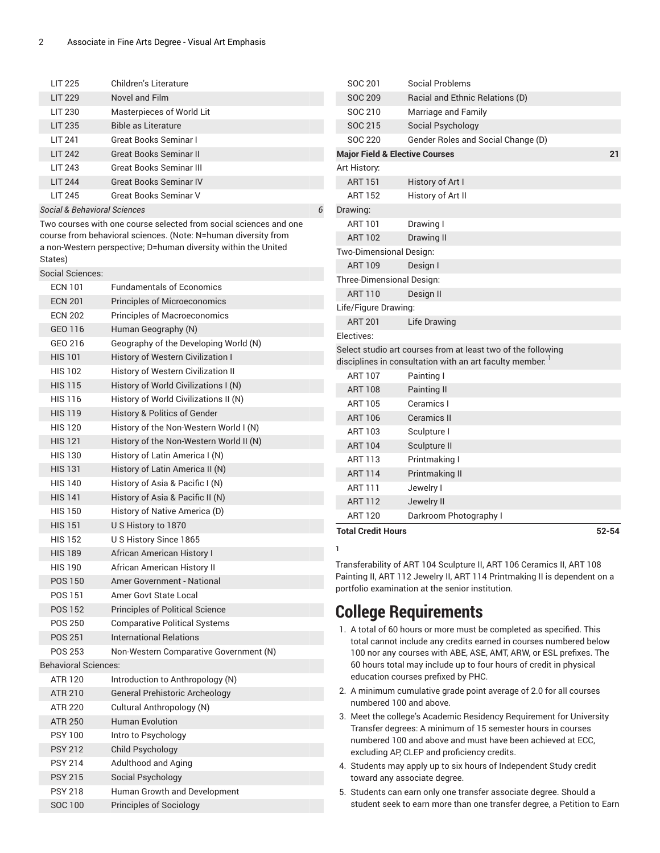| <b>LIT 225</b> | Children's Literature          |
|----------------|--------------------------------|
| <b>LIT 229</b> | Novel and Film                 |
| LIT 230        | Masterpieces of World Lit      |
| <b>LIT 235</b> | Bible as Literature            |
| LIT 241        | Great Books Seminar I          |
| <b>LIT 242</b> | Great Books Seminar II         |
| <b>LIT 243</b> | <b>Great Books Seminar III</b> |
| <b>LIT 244</b> | <b>Great Books Seminar IV</b>  |
| <b>LIT 245</b> | Great Books Seminar V          |
|                |                                |

*Social & Behavioral Sciences 6*

Two courses with one course selected from social sciences and one course from behavioral sciences. (Note: N=human diversity from a non-Western perspective; D=human diversity within the United States)

Social Sciences:

| <b>ECN 101</b>              | <b>Fundamentals of Economics</b>        |
|-----------------------------|-----------------------------------------|
| <b>ECN 201</b>              | <b>Principles of Microeconomics</b>     |
| <b>ECN 202</b>              | <b>Principles of Macroeconomics</b>     |
| GEO 116                     | Human Geography (N)                     |
| GEO 216                     | Geography of the Developing World (N)   |
| <b>HIS 101</b>              | History of Western Civilization I       |
| <b>HIS 102</b>              | History of Western Civilization II      |
| <b>HIS 115</b>              | History of World Civilizations I (N)    |
| <b>HIS 116</b>              | History of World Civilizations II (N)   |
| <b>HIS 119</b>              | <b>History &amp; Politics of Gender</b> |
| <b>HIS 120</b>              | History of the Non-Western World I (N)  |
| <b>HIS 121</b>              | History of the Non-Western World II (N) |
| <b>HIS 130</b>              | History of Latin America I (N)          |
| <b>HIS 131</b>              | History of Latin America II (N)         |
| <b>HIS 140</b>              | History of Asia & Pacific I (N)         |
| <b>HIS 141</b>              | History of Asia & Pacific II (N)        |
| <b>HIS 150</b>              | History of Native America (D)           |
| <b>HIS 151</b>              | USHistory to 1870                       |
| <b>HIS 152</b>              | U S History Since 1865                  |
| <b>HIS 189</b>              | African American History I              |
| <b>HIS 190</b>              | African American History II             |
| <b>POS 150</b>              | Amer Government - National              |
| POS 151                     | Amer Govt State Local                   |
| <b>POS 152</b>              | <b>Principles of Political Science</b>  |
| <b>POS 250</b>              | <b>Comparative Political Systems</b>    |
| POS 251                     | <b>International Relations</b>          |
| POS 253                     | Non-Western Comparative Government (N)  |
| <b>Behavioral Sciences:</b> |                                         |
| <b>ATR 120</b>              | Introduction to Anthropology (N)        |
| <b>ATR 210</b>              | <b>General Prehistoric Archeology</b>   |
| <b>ATR 220</b>              | Cultural Anthropology (N)               |
| <b>ATR 250</b>              | <b>Human Evolution</b>                  |
| <b>PSY 100</b>              | Intro to Psychology                     |
| <b>PSY 212</b>              | Child Psychology                        |
| <b>PSY 214</b>              | <b>Adulthood and Aging</b>              |
| <b>PSY 215</b>              | Social Psychology                       |
| <b>PSY 218</b>              | Human Growth and Development            |
| <b>SOC 100</b>              | <b>Principles of Sociology</b>          |
|                             |                                         |

| <b>Total Credit Hours</b>                 |                                                                                                                                       | $52 - 54$ |
|-------------------------------------------|---------------------------------------------------------------------------------------------------------------------------------------|-----------|
| <b>ART 120</b>                            | Darkroom Photography I                                                                                                                |           |
| <b>ART 112</b>                            | Jewelry II                                                                                                                            |           |
| ART 111                                   | Jewelry I                                                                                                                             |           |
| <b>ART 114</b>                            | Printmaking II                                                                                                                        |           |
| <b>ART 113</b>                            | Printmaking I                                                                                                                         |           |
| <b>ART 104</b>                            | Sculpture II                                                                                                                          |           |
| ART 103                                   | Sculpture I                                                                                                                           |           |
| <b>ART 106</b>                            | Ceramics II                                                                                                                           |           |
| ART 105                                   | Ceramics I                                                                                                                            |           |
| <b>ART 108</b>                            | Painting II                                                                                                                           |           |
| <b>ART 107</b>                            | Painting I                                                                                                                            |           |
|                                           | Select studio art courses from at least two of the following<br>disciplines in consultation with an art faculty member. $^\mathsf{I}$ |           |
| Electives:                                |                                                                                                                                       |           |
| <b>ART 201</b>                            | Life Drawing                                                                                                                          |           |
| Life/Figure Drawing:                      |                                                                                                                                       |           |
| <b>ART 110</b>                            | Design II                                                                                                                             |           |
| Three-Dimensional Design:                 |                                                                                                                                       |           |
| <b>ART 109</b>                            | Design I                                                                                                                              |           |
| Two-Dimensional Design:                   |                                                                                                                                       |           |
| <b>ART 102</b>                            | Drawing II                                                                                                                            |           |
| ART 101                                   | Drawing I                                                                                                                             |           |
| Drawing:                                  |                                                                                                                                       |           |
| <b>ART 152</b>                            | History of Art II                                                                                                                     |           |
| <b>ART 151</b>                            | History of Art I                                                                                                                      |           |
| Art History:                              |                                                                                                                                       |           |
| <b>Major Field &amp; Elective Courses</b> |                                                                                                                                       | 21        |
| SOC 220                                   | Gender Roles and Social Change (D)                                                                                                    |           |
| SOC 215                                   | Social Psychology                                                                                                                     |           |
| SOC 210                                   | Marriage and Family                                                                                                                   |           |
| <b>SOC 209</b>                            | Racial and Ethnic Relations (D)                                                                                                       |           |
| SOC 201                                   | <b>Social Problems</b>                                                                                                                |           |

**1**

Transferability of ART 104 Sculpture II, ART 106 Ceramics II, ART 108 Painting II, ART 112 Jewelry II, ART 114 Printmaking II is dependent on a portfolio examination at the senior institution.

## **College Requirements**

- 1. A total of 60 hours or more must be completed as specified. This total cannot include any credits earned in courses numbered below 100 nor any courses with ABE, ASE, AMT, ARW, or ESL prefixes. The 60 hours total may include up to four hours of credit in physical education courses prefixed by PHC.
- 2. A minimum cumulative grade point average of 2.0 for all courses numbered 100 and above.
- 3. Meet the college's Academic Residency Requirement for University Transfer degrees: A minimum of 15 semester hours in courses numbered 100 and above and must have been achieved at ECC, excluding AP, CLEP and proficiency credits.
- 4. Students may apply up to six hours of Independent Study credit toward any associate degree.
- 5. Students can earn only one transfer associate degree. Should a student seek to earn more than one transfer degree, a Petition to Earn